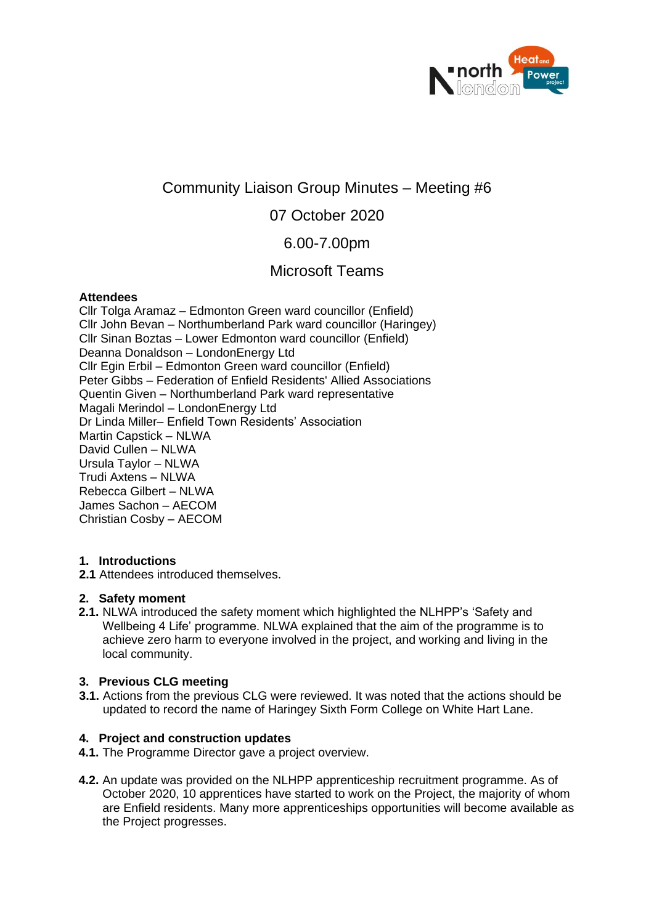

# Community Liaison Group Minutes – Meeting #6

## 07 October 2020

## 6.00-7.00pm

# Microsoft Teams

#### **Attendees**

Cllr Tolga Aramaz – Edmonton Green ward councillor (Enfield) Cllr John Bevan – Northumberland Park ward councillor (Haringey) Cllr Sinan Boztas – Lower Edmonton ward councillor (Enfield) Deanna Donaldson – LondonEnergy Ltd Cllr Egin Erbil – Edmonton Green ward councillor (Enfield) Peter Gibbs – Federation of Enfield Residents' Allied Associations Quentin Given – Northumberland Park ward representative Magali Merindol – LondonEnergy Ltd Dr Linda Miller– Enfield Town Residents' Association Martin Capstick – NLWA David Cullen – NLWA Ursula Taylor – NLWA Trudi Axtens – NLWA Rebecca Gilbert – NLWA James Sachon – AECOM Christian Cosby – AECOM

#### **1. Introductions**

**2.1** Attendees introduced themselves.

## **2. Safety moment**

**2.1.** NLWA introduced the safety moment which highlighted the NLHPP's 'Safety and Wellbeing 4 Life' programme. NLWA explained that the aim of the programme is to achieve zero harm to everyone involved in the project, and working and living in the local community.

## **3. Previous CLG meeting**

**3.1.** Actions from the previous CLG were reviewed. It was noted that the actions should be updated to record the name of Haringey Sixth Form College on White Hart Lane.

## **4. Project and construction updates**

- **4.1.** The Programme Director gave a project overview.
- **4.2.** An update was provided on the NLHPP apprenticeship recruitment programme. As of October 2020, 10 apprentices have started to work on the Project, the majority of whom are Enfield residents. Many more apprenticeships opportunities will become available as the Project progresses.